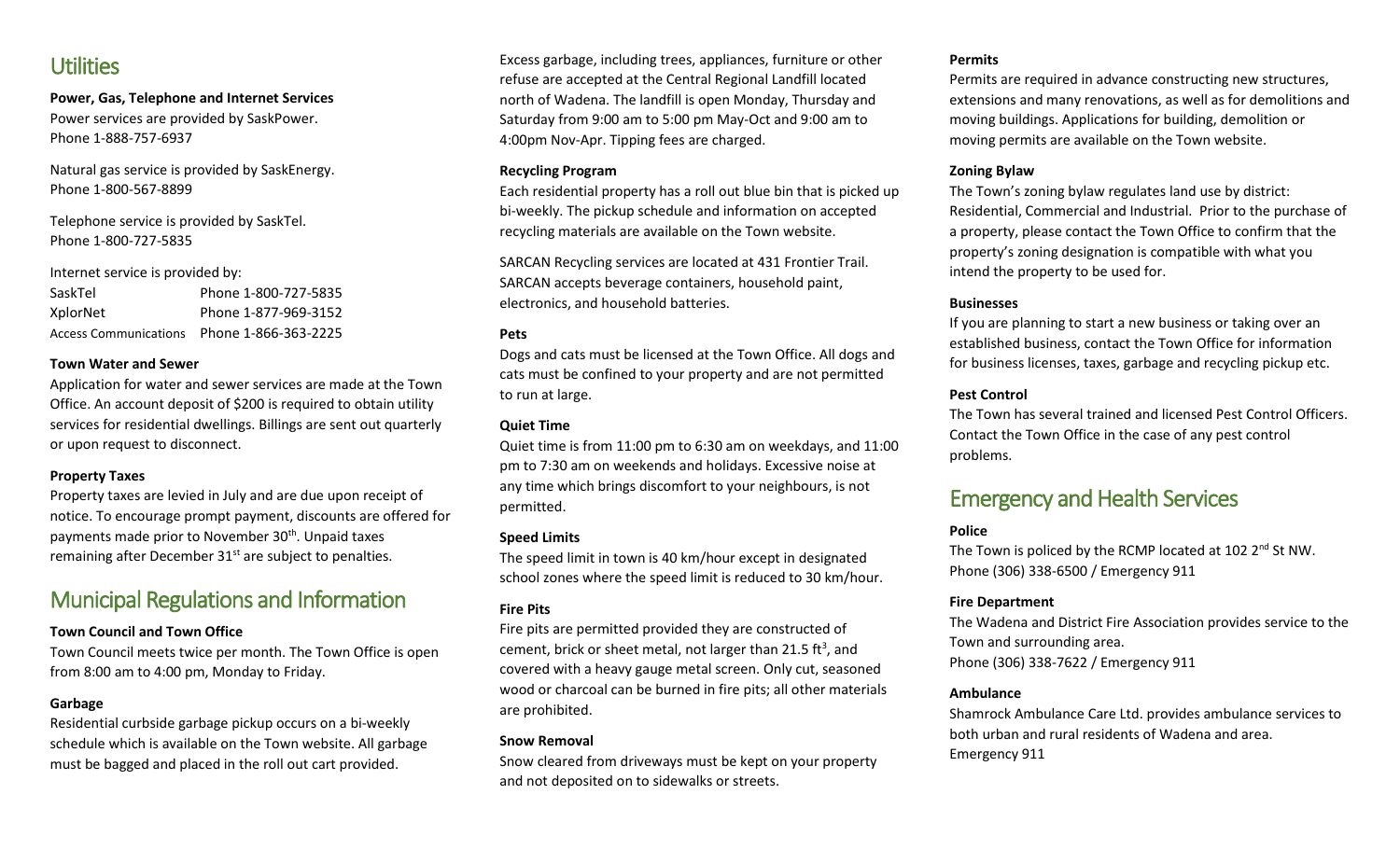### **Utilities**

**Power, Gas, Telephone and Internet Services** Power services are provided by SaskPower. Phone 1-888-757-6937

Natural gas service is provided by SaskEnergy. Phone 1-800-567-8899

Telephone service is provided by SaskTel. Phone 1-800-727-5835

Internet service is provided by:

| SaskTel  | Phone 1-800-727-5835                       |
|----------|--------------------------------------------|
| XplorNet | Phone 1-877-969-3152                       |
|          | Access Communications Phone 1-866-363-2225 |

#### **Town Water and Sewer**

Application for water and sewer services are made at the Town Office. An account deposit of \$200 is required to obtain utility services for residential dwellings. Billings are sent out quarterly or upon request to disconnect.

#### **Property Taxes**

Property taxes are levied in July and are due upon receipt of notice. To encourage prompt payment, discounts are offered for payments made prior to November 30<sup>th</sup>. Unpaid taxes remaining after December  $31<sup>st</sup>$  are subject to penalties.

## Municipal Regulations and Information

#### **Town Council and Town Office**

Town Council meets twice per month. The Town Office is open from 8:00 am to 4:00 pm, Monday to Friday.

#### **Garbage**

Residential curbside garbage pickup occurs on a bi-weekly schedule which is available on the Town website. All garbage must be bagged and placed in the roll out cart provided.

Excess garbage, including trees, appliances, furniture or other refuse are accepted at the Central Regional Landfill located north of Wadena. The landfill is open Monday, Thursday and Saturday from 9:00 am to 5:00 pm May-Oct and 9:00 am to 4:00pm Nov-Apr. Tipping fees are charged.

#### **Recycling Program**

Each residential property has a roll out blue bin that is picked up bi-weekly. The pickup schedule and information on accepted recycling materials are available on the Town website.

SARCAN Recycling services are located at 431 Frontier Trail. SARCAN accepts beverage containers, household paint, electronics, and household batteries.

#### **Pets**

Dogs and cats must be licensed at the Town Office. All dogs and cats must be confined to your property and are not permitted to run at large.

#### **Quiet Time**

Quiet time is from 11:00 pm to 6:30 am on weekdays, and 11:00 pm to 7:30 am on weekends and holidays. Excessive noise at any time which brings discomfort to your neighbours, is not permitted.

#### **Speed Limits**

The speed limit in town is 40 km/hour except in designated school zones where the speed limit is reduced to 30 km/hour.

#### **Fire Pits**

Fire pits are permitted provided they are constructed of cement, brick or sheet metal, not larger than 21.5 ft<sup>3</sup>, and covered with a heavy gauge metal screen. Only cut, seasoned wood or charcoal can be burned in fire pits; all other materials are prohibited.

#### **Snow Removal**

Snow cleared from driveways must be kept on your property and not deposited on to sidewalks or streets.

#### **Permits**

Permits are required in advance constructing new structures, extensions and many renovations, as well as for demolitions and moving buildings. Applications for building, demolition or moving permits are available on the Town website.

#### **Zoning Bylaw**

The Town's zoning bylaw regulates land use by district: Residential, Commercial and Industrial. Prior to the purchase of a property, please contact the Town Office to confirm that the property's zoning designation is compatible with what you intend the property to be used for.

#### **Businesses**

If you are planning to start a new business or taking over an established business, contact the Town Office for information for business licenses, taxes, garbage and recycling pickup etc.

#### **Pest Control**

The Town has several trained and licensed Pest Control Officers. Contact the Town Office in the case of any pest control problems.

## Emergency and Health Services

#### **Police**

The Town is policed by the RCMP located at 102 2<sup>nd</sup> St NW. Phone (306) 338-6500 / Emergency 911

#### **Fire Department**

The Wadena and District Fire Association provides service to the Town and surrounding area. Phone (306) 338-7622 / Emergency 911

#### **Ambulance**

Shamrock Ambulance Care Ltd. provides ambulance services to both urban and rural residents of Wadena and area. Emergency 911